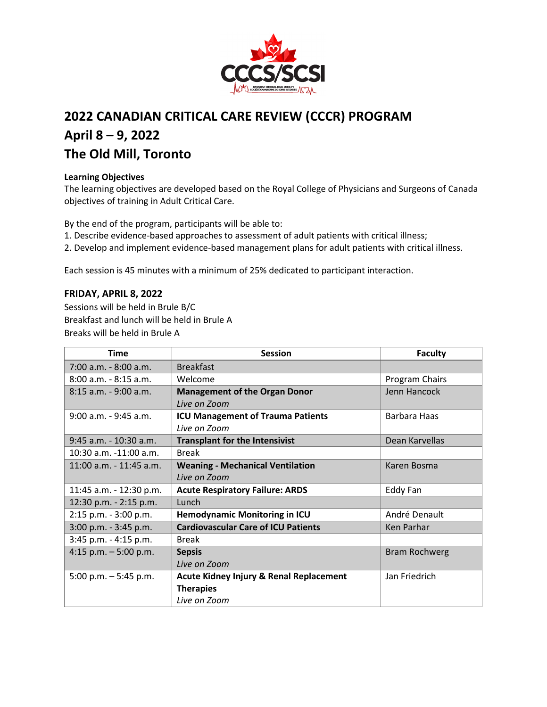

# **2022 CANADIAN CRITICAL CARE REVIEW (CCCR) PROGRAM April 8 – 9, 2022 The Old Mill, Toronto**

### **Learning Objectives**

The learning objectives are developed based on the Royal College of Physicians and Surgeons of Canada objectives of training in Adult Critical Care.

By the end of the program, participants will be able to:

1. Describe evidence-based approaches to assessment of adult patients with critical illness;

2. Develop and implement evidence-based management plans for adult patients with critical illness.

Each session is 45 minutes with a minimum of 25% dedicated to participant interaction.

## **FRIDAY, APRIL 8, 2022**

Sessions will be held in Brule B/C Breakfast and lunch will be held in Brule A Breaks will be held in Brule A

| <b>Time</b>                 | <b>Session</b>                                     | <b>Faculty</b>       |
|-----------------------------|----------------------------------------------------|----------------------|
| 7:00 a.m. - 8:00 a.m.       | <b>Breakfast</b>                                   |                      |
| $8:00$ a.m. $-8:15$ a.m.    | Welcome                                            | Program Chairs       |
| $8:15$ a.m. - 9:00 a.m.     | <b>Management of the Organ Donor</b>               | Jenn Hancock         |
|                             | Live on Zoom                                       |                      |
| $9:00$ a.m. - $9:45$ a.m.   | <b>ICU Management of Trauma Patients</b>           | Barbara Haas         |
|                             | Live on Zoom                                       |                      |
| 9:45 a.m. - 10:30 a.m.      | <b>Transplant for the Intensivist</b>              | Dean Karvellas       |
| 10:30 a.m. -11:00 a.m.      | <b>Break</b>                                       |                      |
| $11:00$ a.m. - $11:45$ a.m. | <b>Weaning - Mechanical Ventilation</b>            | Karen Bosma          |
|                             | Live on Zoom                                       |                      |
| 11:45 a.m. - 12:30 p.m.     | <b>Acute Respiratory Failure: ARDS</b>             | Eddy Fan             |
| 12:30 p.m. - 2:15 p.m.      | Lunch                                              |                      |
| 2:15 p.m. - 3:00 p.m.       | <b>Hemodynamic Monitoring in ICU</b>               | André Denault        |
| 3:00 p.m. - 3:45 p.m.       | <b>Cardiovascular Care of ICU Patients</b>         | Ken Parhar           |
| 3:45 p.m. - 4:15 p.m.       | <b>Break</b>                                       |                      |
| 4:15 p.m. $-5:00$ p.m.      | <b>Sepsis</b>                                      | <b>Bram Rochwerg</b> |
|                             | Live on Zoom                                       |                      |
| 5:00 p.m. $-5:45$ p.m.      | <b>Acute Kidney Injury &amp; Renal Replacement</b> | Jan Friedrich        |
|                             | <b>Therapies</b>                                   |                      |
|                             | Live on Zoom                                       |                      |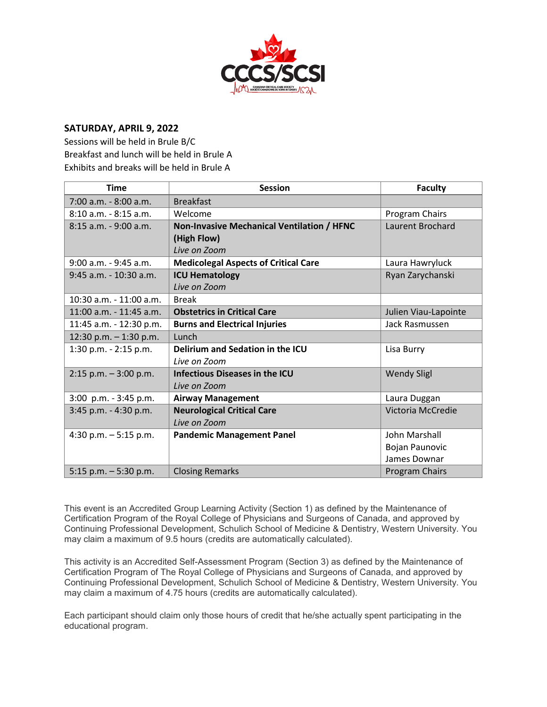

### **SATURDAY, APRIL 9, 2022**

Sessions will be held in Brule B/C Breakfast and lunch will be held in Brule A Exhibits and breaks will be held in Brule A

| <b>Time</b>              | <b>Session</b>                              | <b>Faculty</b>        |
|--------------------------|---------------------------------------------|-----------------------|
| 7:00 a.m. - 8:00 a.m.    | <b>Breakfast</b>                            |                       |
| $8:10$ a.m. $-8:15$ a.m. | Welcome                                     | Program Chairs        |
| $8:15$ a.m. - 9:00 a.m.  | Non-Invasive Mechanical Ventilation / HFNC  | Laurent Brochard      |
|                          | (High Flow)                                 |                       |
|                          | Live on Zoom                                |                       |
| 9:00 a.m. - 9:45 a.m.    | <b>Medicolegal Aspects of Critical Care</b> | Laura Hawryluck       |
| 9:45 a.m. - 10:30 a.m.   | <b>ICU Hematology</b>                       | Ryan Zarychanski      |
|                          | Live on Zoom                                |                       |
| 10:30 a.m. - 11:00 a.m.  | <b>Break</b>                                |                       |
| 11:00 a.m. - 11:45 a.m.  | <b>Obstetrics in Critical Care</b>          | Julien Viau-Lapointe  |
| 11:45 a.m. - 12:30 p.m.  | <b>Burns and Electrical Injuries</b>        | Jack Rasmussen        |
| 12:30 p.m. $-$ 1:30 p.m. | Lunch                                       |                       |
| 1:30 p.m. - 2:15 p.m.    | Delirium and Sedation in the ICU            | Lisa Burry            |
|                          | Live on Zoom                                |                       |
| $2:15$ p.m. $-3:00$ p.m. | <b>Infectious Diseases in the ICU</b>       | <b>Wendy Sligl</b>    |
|                          | Live on Zoom                                |                       |
| 3:00 p.m. - 3:45 p.m.    | <b>Airway Management</b>                    | Laura Duggan          |
| 3:45 p.m. - 4:30 p.m.    | <b>Neurological Critical Care</b>           | Victoria McCredie     |
|                          | Live on Zoom                                |                       |
| 4:30 p.m. $-5:15$ p.m.   | <b>Pandemic Management Panel</b>            | John Marshall         |
|                          |                                             | <b>Bojan Paunovic</b> |
|                          |                                             | James Downar          |
| 5:15 p.m. $-5:30$ p.m.   | <b>Closing Remarks</b>                      | <b>Program Chairs</b> |

This event is an Accredited Group Learning Activity (Section 1) as defined by the Maintenance of Certification Program of the Royal College of Physicians and Surgeons of Canada, and approved by Continuing Professional Development, Schulich School of Medicine & Dentistry, Western University. You may claim a maximum of 9.5 hours (credits are automatically calculated).

This activity is an Accredited Self-Assessment Program (Section 3) as defined by the Maintenance of Certification Program of The Royal College of Physicians and Surgeons of Canada, and approved by Continuing Professional Development, Schulich School of Medicine & Dentistry, Western University. You may claim a maximum of 4.75 hours (credits are automatically calculated).

Each participant should claim only those hours of credit that he/she actually spent participating in the educational program.